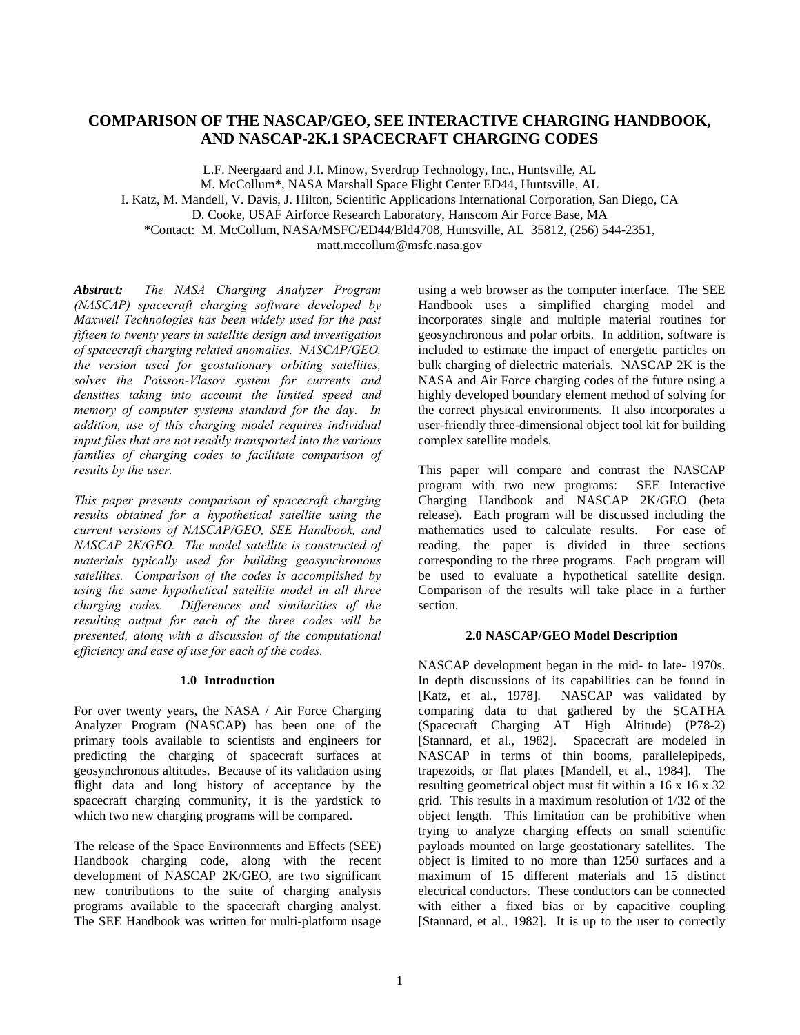# **COMPARISON OF THE NASCAP/GEO, SEE INTERACTIVE CHARGING HANDBOOK, AND NASCAP-2K.1 SPACECRAFT CHARGING CODES**

L.F. Neergaard and J.I. Minow, Sverdrup Technology, Inc., Huntsville, AL M. McCollum\*, NASA Marshall Space Flight Center ED44, Huntsville, AL I. Katz, M. Mandell, V. Davis, J. Hilton, Scientific Applications International Corporation, San Diego, CA D. Cooke, USAF Airforce Research Laboratory, Hanscom Air Force Base, MA \*Contact: M. McCollum, NASA/MSFC/ED44/Bld4708, Huntsville, AL 35812, (256) 544-2351, matt.mccollum@msfc.nasa.gov

*Abstract: The NASA Charging Analyzer Program (NASCAP) spacecraft charging software developed by Maxwell Technologies has been widely used for the past fifteen to twenty years in satellite design and investigation of spacecraft charging related anomalies. NASCAP/GEO, the version used for geostationary orbiting satellites, solves the Poisson-Vlasov system for currents and densities taking into account the limited speed and memory of computer systems standard for the day. In addition, use of this charging model requires individual input files that are not readily transported into the various families of charging codes to facilitate comparison of results by the user.*

*This paper presents comparison of spacecraft charging results obtained for a hypothetical satellite using the current versions of NASCAP/GEO, SEE Handbook, and NASCAP 2K/GEO. The model satellite is constructed of materials typically used for building geosynchronous satellites. Comparison of the codes is accomplished by using the same hypothetical satellite model in all three charging codes. Differences and similarities of the resulting output for each of the three codes will be presented, along with a discussion of the computational efficiency and ease of use for each of the codes.*

## **1.0 Introduction**

For over twenty years, the NASA / Air Force Charging Analyzer Program (NASCAP) has been one of the primary tools available to scientists and engineers for predicting the charging of spacecraft surfaces at geosynchronous altitudes. Because of its validation using flight data and long history of acceptance by the spacecraft charging community, it is the yardstick to which two new charging programs will be compared.

The release of the Space Environments and Effects (SEE) Handbook charging code, along with the recent development of NASCAP 2K/GEO, are two significant new contributions to the suite of charging analysis programs available to the spacecraft charging analyst. The SEE Handbook was written for multi-platform usage

using a web browser as the computer interface. The SEE Handbook uses a simplified charging model and incorporates single and multiple material routines for geosynchronous and polar orbits. In addition, software is included to estimate the impact of energetic particles on bulk charging of dielectric materials. NASCAP 2K is the NASA and Air Force charging codes of the future using a highly developed boundary element method of solving for the correct physical environments. It also incorporates a user-friendly three-dimensional object tool kit for building complex satellite models.

This paper will compare and contrast the NASCAP program with two new programs: SEE Interactive Charging Handbook and NASCAP 2K/GEO (beta release). Each program will be discussed including the mathematics used to calculate results. For ease of reading, the paper is divided in three sections corresponding to the three programs. Each program will be used to evaluate a hypothetical satellite design. Comparison of the results will take place in a further section.

## **2.0 NASCAP/GEO Model Description**

NASCAP development began in the mid- to late- 1970s. In depth discussions of its capabilities can be found in [Katz, et al., 1978]. NASCAP was validated by comparing data to that gathered by the SCATHA (Spacecraft Charging AT High Altitude) (P78-2) [Stannard, et al., 1982]. Spacecraft are modeled in NASCAP in terms of thin booms, parallelepipeds, trapezoids, or flat plates [Mandell, et al., 1984]. The resulting geometrical object must fit within a 16 x 16 x 32 grid. This results in a maximum resolution of 1/32 of the object length. This limitation can be prohibitive when trying to analyze charging effects on small scientific payloads mounted on large geostationary satellites. The object is limited to no more than 1250 surfaces and a maximum of 15 different materials and 15 distinct electrical conductors. These conductors can be connected with either a fixed bias or by capacitive coupling [Stannard, et al., 1982]. It is up to the user to correctly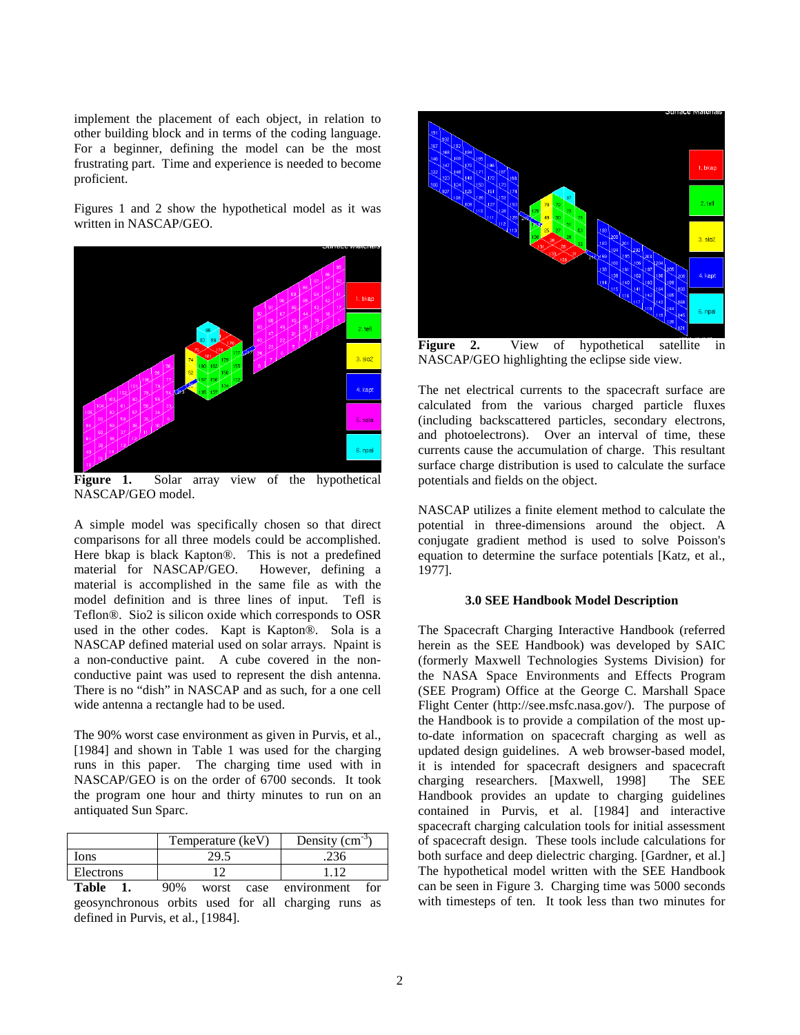implement the placement of each object, in relation to other building block and in terms of the coding language. For a beginner, defining the model can be the most frustrating part. Time and experience is needed to become proficient.

Figures 1 and 2 show the hypothetical model as it was written in NASCAP/GEO.



**Figure 1.** Solar array view of the hypothetical NASCAP/GEO model.

A simple model was specifically chosen so that direct comparisons for all three models could be accomplished. Here bkap is black Kapton®. This is not a predefined material for NASCAP/GEO. However, defining a material is accomplished in the same file as with the model definition and is three lines of input. Tefl is Teflon®. Sio2 is silicon oxide which corresponds to OSR used in the other codes. Kapt is Kapton®. Sola is a NASCAP defined material used on solar arrays. Npaint is a non-conductive paint. A cube covered in the nonconductive paint was used to represent the dish antenna. There is no "dish" in NASCAP and as such, for a one cell wide antenna a rectangle had to be used.

The 90% worst case environment as given in Purvis, et al., [1984] and shown in Table 1 was used for the charging runs in this paper. The charging time used with in NASCAP/GEO is on the order of 6700 seconds. It took the program one hour and thirty minutes to run on an antiquated Sun Sparc.

|           | Temperature (keV) | Density $\rm (cm^{-3})$ |
|-----------|-------------------|-------------------------|
| Ions      |                   |                         |
| Electrons |                   |                         |

**Table 1.** 90% worst case environment for geosynchronous orbits used for all charging runs as defined in Purvis, et al., [1984].



**Figure 2.** View of hypothetical satellite in NASCAP/GEO highlighting the eclipse side view.

The net electrical currents to the spacecraft surface are calculated from the various charged particle fluxes (including backscattered particles, secondary electrons, and photoelectrons). Over an interval of time, these currents cause the accumulation of charge. This resultant surface charge distribution is used to calculate the surface potentials and fields on the object.

NASCAP utilizes a finite element method to calculate the potential in three-dimensions around the object. A conjugate gradient method is used to solve Poisson's equation to determine the surface potentials [Katz, et al., 1977].

#### **3.0 SEE Handbook Model Description**

The Spacecraft Charging Interactive Handbook (referred herein as the SEE Handbook) was developed by SAIC (formerly Maxwell Technologies Systems Division) for the NASA Space Environments and Effects Program (SEE Program) Office at the George C. Marshall Space Flight Center (http://see.msfc.nasa.gov/). The purpose of the Handbook is to provide a compilation of the most upto-date information on spacecraft charging as well as updated design guidelines. A web browser-based model, it is intended for spacecraft designers and spacecraft charging researchers. [Maxwell, 1998] The SEE Handbook provides an update to charging guidelines contained in Purvis, et al. [1984] and interactive spacecraft charging calculation tools for initial assessment of spacecraft design. These tools include calculations for both surface and deep dielectric charging. [Gardner, et al.] The hypothetical model written with the SEE Handbook can be seen in Figure 3. Charging time was 5000 seconds with timesteps of ten. It took less than two minutes for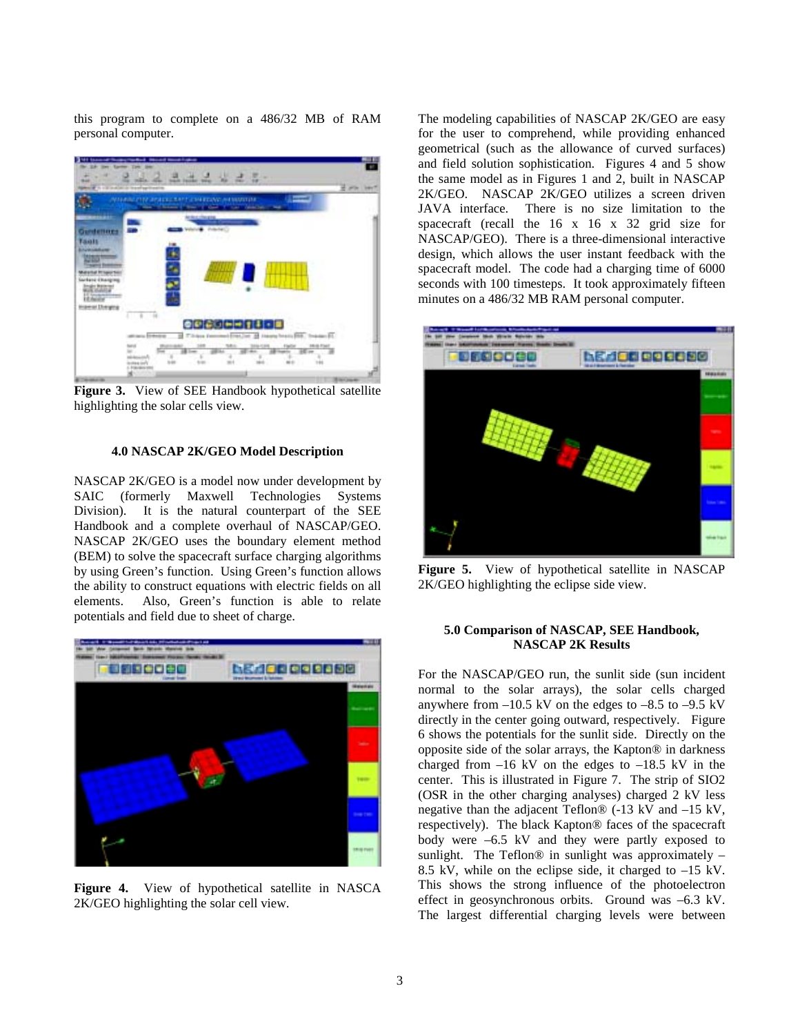this program to complete on a 486/32 MB of RAM personal computer.



Figure 3. View of SEE Handbook hypothetical satellite highlighting the solar cells view.

## **4.0 NASCAP 2K/GEO Model Description**

NASCAP 2K/GEO is a model now under development by SAIC (formerly Maxwell Technologies Systems Division). It is the natural counterpart of the SEE Handbook and a complete overhaul of NASCAP/GEO. NASCAP 2K/GEO uses the boundary element method (BEM) to solve the spacecraft surface charging algorithms by using Green's function. Using Green's function allows the ability to construct equations with electric fields on all elements. Also, Green's function is able to relate potentials and field due to sheet of charge.



**Figure 4.** View of hypothetical satellite in NASCA 2K/GEO highlighting the solar cell view.

The modeling capabilities of NASCAP 2K/GEO are easy for the user to comprehend, while providing enhanced geometrical (such as the allowance of curved surfaces) and field solution sophistication. Figures 4 and 5 show the same model as in Figures 1 and 2, built in NASCAP 2K/GEO. NASCAP 2K/GEO utilizes a screen driven<br>JAVA interface. There is no size limitation to the There is no size limitation to the spacecraft (recall the 16 x 16 x 32 grid size for NASCAP/GEO). There is a three-dimensional interactive design, which allows the user instant feedback with the spacecraft model. The code had a charging time of 6000 seconds with 100 timesteps. It took approximately fifteen minutes on a 486/32 MB RAM personal computer.



**Figure 5.** View of hypothetical satellite in NASCAP 2K/GEO highlighting the eclipse side view.

## **5.0 Comparison of NASCAP, SEE Handbook, NASCAP 2K Results**

For the NASCAP/GEO run, the sunlit side (sun incident normal to the solar arrays), the solar cells charged anywhere from  $-10.5$  kV on the edges to  $-8.5$  to  $-9.5$  kV directly in the center going outward, respectively. Figure 6 shows the potentials for the sunlit side. Directly on the opposite side of the solar arrays, the Kapton® in darkness charged from  $-16$  kV on the edges to  $-18.5$  kV in the center. This is illustrated in Figure 7. The strip of SIO2 (OSR in the other charging analyses) charged 2 kV less negative than the adjacent Teflon® (-13 kV and –15 kV, respectively). The black Kapton® faces of the spacecraft body were –6.5 kV and they were partly exposed to sunlight. The Teflon $@$  in sunlight was approximately  $-$ 8.5 kV, while on the eclipse side, it charged to –15 kV. This shows the strong influence of the photoelectron effect in geosynchronous orbits. Ground was –6.3 kV. The largest differential charging levels were between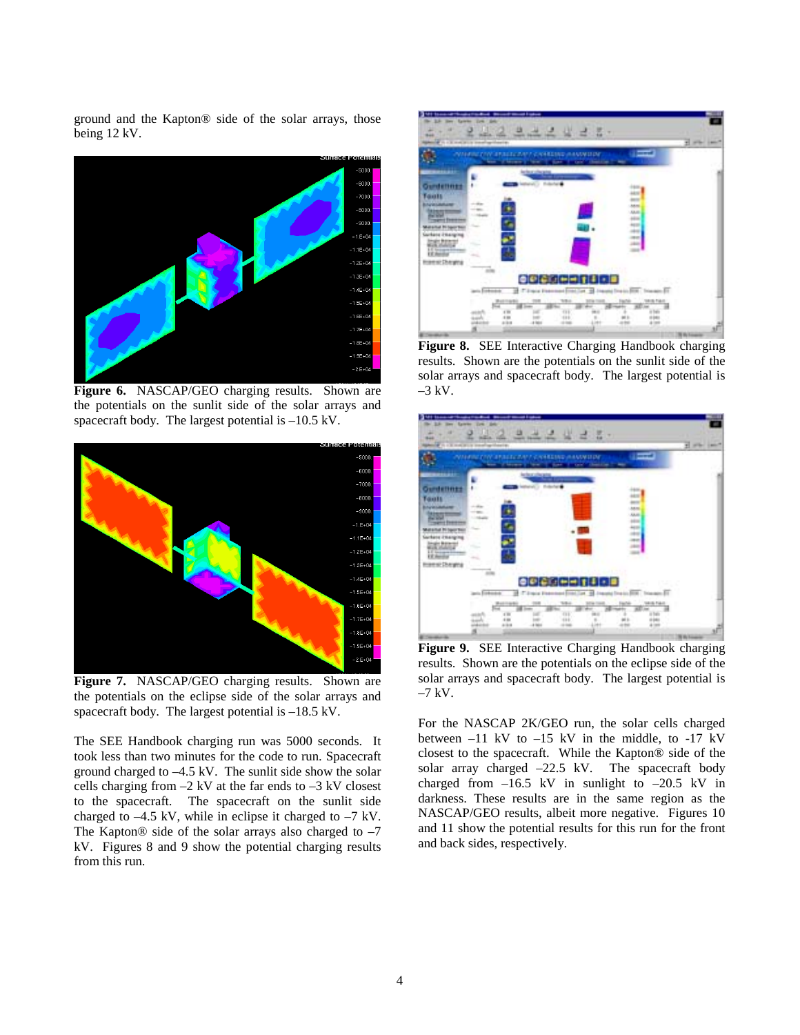ground and the Kapton® side of the solar arrays, those being 12 kV.



**Figure 6.** NASCAP/GEO charging results. Shown are the potentials on the sunlit side of the solar arrays and spacecraft body. The largest potential is –10.5 kV.



**Figure 7.** NASCAP/GEO charging results. Shown are the potentials on the eclipse side of the solar arrays and spacecraft body. The largest potential is –18.5 kV.

The SEE Handbook charging run was 5000 seconds. It took less than two minutes for the code to run. Spacecraft ground charged to –4.5 kV. The sunlit side show the solar cells charging from  $-2$  kV at the far ends to  $-3$  kV closest to the spacecraft. The spacecraft on the sunlit side charged to –4.5 kV, while in eclipse it charged to –7 kV. The Kapton® side of the solar arrays also charged to  $-7$ kV. Figures 8 and 9 show the potential charging results from this run.



**Figure 8.** SEE Interactive Charging Handbook charging results. Shown are the potentials on the sunlit side of the solar arrays and spacecraft body. The largest potential is  $-3$  kV.



**Figure 9.** SEE Interactive Charging Handbook charging results. Shown are the potentials on the eclipse side of the solar arrays and spacecraft body. The largest potential is  $-7$  kV.

For the NASCAP 2K/GEO run, the solar cells charged between  $-11$  kV to  $-15$  kV in the middle, to  $-17$  kV closest to the spacecraft. While the Kapton® side of the solar array charged –22.5 kV. The spacecraft body charged from  $-16.5$  kV in sunlight to  $-20.5$  kV in darkness. These results are in the same region as the NASCAP/GEO results, albeit more negative. Figures 10 and 11 show the potential results for this run for the front and back sides, respectively.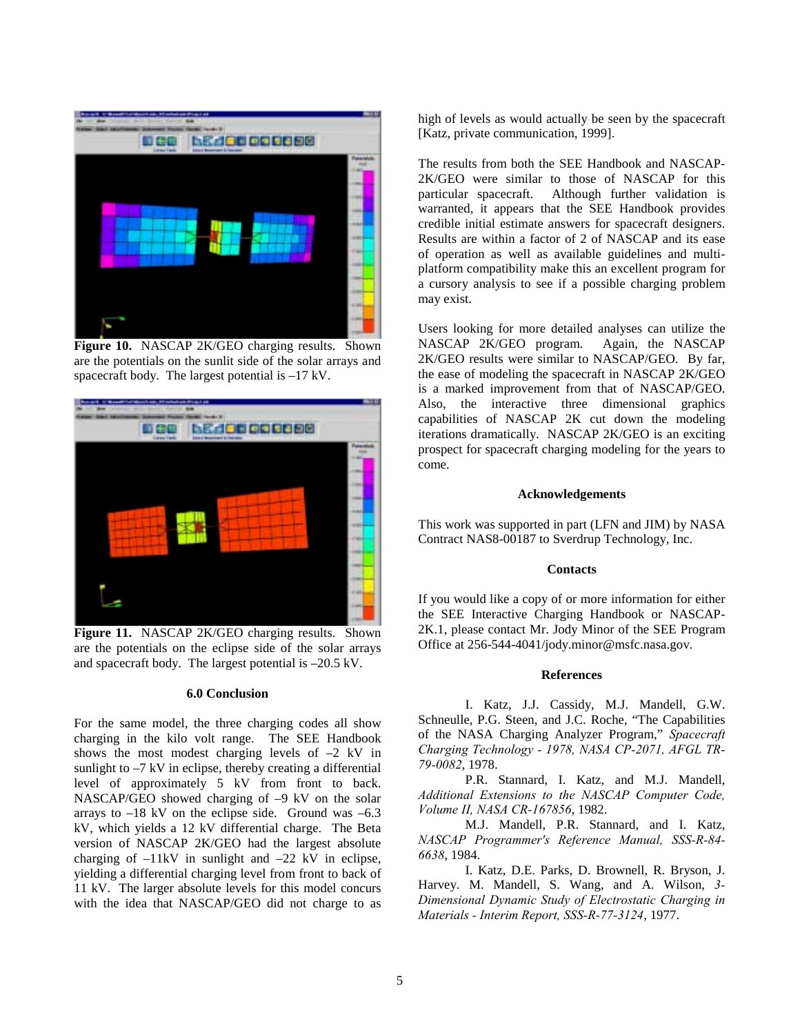

**Figure 10.** NASCAP 2K/GEO charging results. Shown are the potentials on the sunlit side of the solar arrays and spacecraft body. The largest potential is –17 kV.



Figure 11. NASCAP 2K/GEO charging results. Shown are the potentials on the eclipse side of the solar arrays and spacecraft body. The largest potential is –20.5 kV.

### **6.0 Conclusion**

For the same model, the three charging codes all show charging in the kilo volt range. The SEE Handbook shows the most modest charging levels of  $-2$  kV in sunlight to  $-7$  kV in eclipse, thereby creating a differential level of approximately 5 kV from front to back. NASCAP/GEO showed charging of –9 kV on the solar arrays to  $-18$  kV on the eclipse side. Ground was  $-6.3$ kV, which yields a 12 kV differential charge. The Beta version of NASCAP 2K/GEO had the largest absolute charging of  $-11kV$  in sunlight and  $-22$  kV in eclipse, yielding a differential charging level from front to back of 11 kV. The larger absolute levels for this model concurs with the idea that NASCAP/GEO did not charge to as high of levels as would actually be seen by the spacecraft [Katz, private communication, 1999].

The results from both the SEE Handbook and NASCAP-2K/GEO were similar to those of NASCAP for this particular spacecraft. Although further validation is warranted, it appears that the SEE Handbook provides credible initial estimate answers for spacecraft designers. Results are within a factor of 2 of NASCAP and its ease of operation as well as available guidelines and multiplatform compatibility make this an excellent program for a cursory analysis to see if a possible charging problem may exist.

Users looking for more detailed analyses can utilize the NASCAP 2K/GEO program. Again, the NASCAP 2K/GEO results were similar to NASCAP/GEO. By far, the ease of modeling the spacecraft in NASCAP 2K/GEO is a marked improvement from that of NASCAP/GEO. Also, the interactive three dimensional graphics capabilities of NASCAP 2K cut down the modeling iterations dramatically. NASCAP 2K/GEO is an exciting prospect for spacecraft charging modeling for the years to come.

### **Acknowledgements**

This work was supported in part (LFN and JIM) by NASA Contract NAS8-00187 to Sverdrup Technology, Inc.

#### **Contacts**

If you would like a copy of or more information for either the SEE Interactive Charging Handbook or NASCAP-2K.1, please contact Mr. Jody Minor of the SEE Program Office at 256-544-4041/jody.minor@msfc.nasa.gov.

#### **References**

I. Katz, J.J. Cassidy, M.J. Mandell, G.W. Schneulle, P.G. Steen, and J.C. Roche, "The Capabilities of the NASA Charging Analyzer Program," *Spacecraft Charging Technology - 1978, NASA CP-2071, AFGL TR-79-0082*, 1978.

P.R. Stannard, I. Katz, and M.J. Mandell, *Additional Extensions to the NASCAP Computer Code, Volume II, NASA CR-167856*, 1982.

M.J. Mandell, P.R. Stannard, and I. Katz, *NASCAP Programmer's Reference Manual, SSS-R-84- 6638*, 1984.

I. Katz, D.E. Parks, D. Brownell, R. Bryson, J. Harvey. M. Mandell, S. Wang, and A. Wilson, *3- Dimensional Dynamic Study of Electrostatic Charging in Materials - Interim Report, SSS-R-77-3124*, 1977.